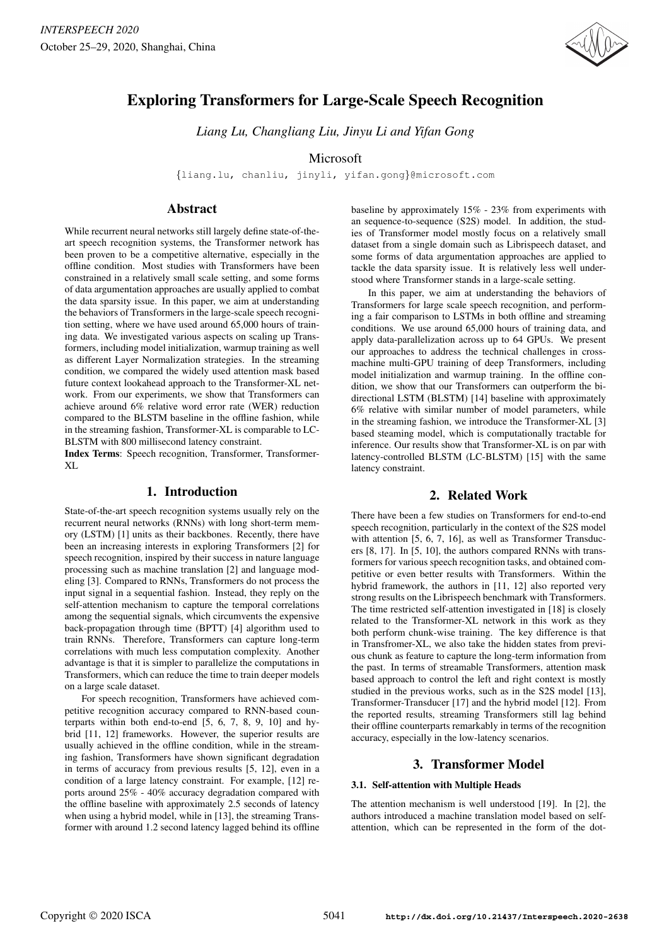

# Exploring Transformers for Large-Scale Speech Recognition

*Liang Lu, Changliang Liu, Jinyu Li and Yifan Gong*

# Microsoft

{liang.lu, chanliu, jinyli, yifan.gong}@microsoft.com

# Abstract

While recurrent neural networks still largely define state-of-theart speech recognition systems, the Transformer network has been proven to be a competitive alternative, especially in the offline condition. Most studies with Transformers have been constrained in a relatively small scale setting, and some forms of data argumentation approaches are usually applied to combat the data sparsity issue. In this paper, we aim at understanding the behaviors of Transformers in the large-scale speech recognition setting, where we have used around 65,000 hours of training data. We investigated various aspects on scaling up Transformers, including model initialization, warmup training as well as different Layer Normalization strategies. In the streaming condition, we compared the widely used attention mask based future context lookahead approach to the Transformer-XL network. From our experiments, we show that Transformers can achieve around 6% relative word error rate (WER) reduction compared to the BLSTM baseline in the offline fashion, while in the streaming fashion, Transformer-XL is comparable to LC-BLSTM with 800 millisecond latency constraint.

Index Terms: Speech recognition, Transformer, Transformer-XL

# 1. Introduction

State-of-the-art speech recognition systems usually rely on the recurrent neural networks (RNNs) with long short-term memory (LSTM) [1] units as their backbones. Recently, there have been an increasing interests in exploring Transformers [2] for speech recognition, inspired by their success in nature language processing such as machine translation [2] and language modeling [3]. Compared to RNNs, Transformers do not process the input signal in a sequential fashion. Instead, they reply on the self-attention mechanism to capture the temporal correlations among the sequential signals, which circumvents the expensive back-propagation through time (BPTT) [4] algorithm used to train RNNs. Therefore, Transformers can capture long-term correlations with much less computation complexity. Another advantage is that it is simpler to parallelize the computations in Transformers, which can reduce the time to train deeper models on a large scale dataset.

For speech recognition, Transformers have achieved competitive recognition accuracy compared to RNN-based counterparts within both end-to-end [5, 6, 7, 8, 9, 10] and hybrid [11, 12] frameworks. However, the superior results are usually achieved in the offline condition, while in the streaming fashion, Transformers have shown significant degradation in terms of accuracy from previous results [5, 12], even in a condition of a large latency constraint. For example, [12] reports around 25% - 40% accuracy degradation compared with the offline baseline with approximately 2.5 seconds of latency when using a hybrid model, while in [13], the streaming Transformer with around 1.2 second latency lagged behind its offline baseline by approximately 15% - 23% from experiments with an sequence-to-sequence (S2S) model. In addition, the studies of Transformer model mostly focus on a relatively small dataset from a single domain such as Librispeech dataset, and some forms of data argumentation approaches are applied to tackle the data sparsity issue. It is relatively less well understood where Transformer stands in a large-scale setting.

In this paper, we aim at understanding the behaviors of Transformers for large scale speech recognition, and performing a fair comparison to LSTMs in both offline and streaming conditions. We use around 65,000 hours of training data, and apply data-parallelization across up to 64 GPUs. We present our approaches to address the technical challenges in crossmachine multi-GPU training of deep Transformers, including model initialization and warmup training. In the offline condition, we show that our Transformers can outperform the bidirectional LSTM (BLSTM) [14] baseline with approximately 6% relative with similar number of model parameters, while in the streaming fashion, we introduce the Transformer-XL [3] based steaming model, which is computationally tractable for inference. Our results show that Transformer-XL is on par with latency-controlled BLSTM (LC-BLSTM) [15] with the same latency constraint.

# 2. Related Work

There have been a few studies on Transformers for end-to-end speech recognition, particularly in the context of the S2S model with attention [5, 6, 7, 16], as well as Transformer Transducers [8, 17]. In [5, 10], the authors compared RNNs with transformers for various speech recognition tasks, and obtained competitive or even better results with Transformers. Within the hybrid framework, the authors in [11, 12] also reported very strong results on the Librispeech benchmark with Transformers. The time restricted self-attention investigated in [18] is closely related to the Transformer-XL network in this work as they both perform chunk-wise training. The key difference is that in Transfromer-XL, we also take the hidden states from previous chunk as feature to capture the long-term information from the past. In terms of streamable Transformers, attention mask based approach to control the left and right context is mostly studied in the previous works, such as in the S2S model [13], Transformer-Transducer [17] and the hybrid model [12]. From the reported results, streaming Transformers still lag behind their offline counterparts remarkably in terms of the recognition accuracy, especially in the low-latency scenarios.

# 3. Transformer Model

### 3.1. Self-attention with Multiple Heads

The attention mechanism is well understood [19]. In [2], the authors introduced a machine translation model based on selfattention, which can be represented in the form of the dot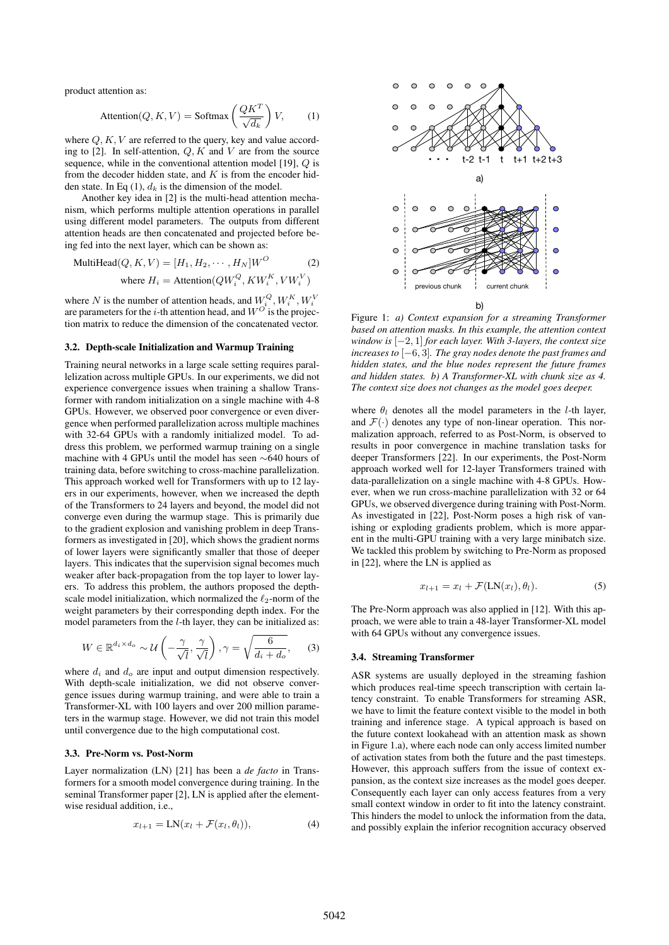product attention as:

$$
\text{Attention}(Q, K, V) = \text{Softmax}\left(\frac{QK^T}{\sqrt{d_k}}\right)V,\tag{1}
$$

where  $Q, K, V$  are referred to the query, key and value according to [2]. In self-attention,  $Q, K$  and  $V$  are from the source sequence, while in the conventional attention model  $[19]$ ,  $Q$  is from the decoder hidden state, and  $K$  is from the encoder hidden state. In Eq  $(1)$ ,  $d_k$  is the dimension of the model.

Another key idea in [2] is the multi-head attention mechanism, which performs multiple attention operations in parallel using different model parameters. The outputs from different attention heads are then concatenated and projected before being fed into the next layer, which can be shown as:

$$
\text{MultiHead}(Q, K, V) = [H_1, H_2, \cdots, H_N]W^O \tag{2}
$$
\n
$$
\text{where } H_i = \text{Attention}(QW_i^Q, KW_i^K, VW_i^V)
$$

where N is the number of attention heads, and  $W_{i}^{Q}, W_{i}^{K}, W_{i}^{V}$ are parameters for the *i*-th attention head, and  $W^{O}$  is the projection matrix to reduce the dimension of the concatenated vector.

#### 3.2. Depth-scale Initialization and Warmup Training

Training neural networks in a large scale setting requires parallelization across multiple GPUs. In our experiments, we did not experience convergence issues when training a shallow Transformer with random initialization on a single machine with 4-8 GPUs. However, we observed poor convergence or even divergence when performed parallelization across multiple machines with 32-64 GPUs with a randomly initialized model. To address this problem, we performed warmup training on a single machine with 4 GPUs until the model has seen ∼640 hours of training data, before switching to cross-machine parallelization. This approach worked well for Transformers with up to 12 layers in our experiments, however, when we increased the depth of the Transformers to 24 layers and beyond, the model did not converge even during the warmup stage. This is primarily due to the gradient explosion and vanishing problem in deep Transformers as investigated in [20], which shows the gradient norms of lower layers were significantly smaller that those of deeper layers. This indicates that the supervision signal becomes much weaker after back-propagation from the top layer to lower layers. To address this problem, the authors proposed the depthscale model initialization, which normalized the  $\ell_2$ -norm of the weight parameters by their corresponding depth index. For the model parameters from the l-th layer, they can be initialized as:

$$
W \in \mathbb{R}^{d_i \times d_o} \sim \mathcal{U}\left(-\frac{\gamma}{\sqrt{l}}, \frac{\gamma}{\sqrt{l}}\right), \gamma = \sqrt{\frac{6}{d_i + d_o}},\qquad(3)
$$

where  $d_i$  and  $d_o$  are input and output dimension respectively. With depth-scale initialization, we did not observe convergence issues during warmup training, and were able to train a Transformer-XL with 100 layers and over 200 million parameters in the warmup stage. However, we did not train this model until convergence due to the high computational cost.

### 3.3. Pre-Norm vs. Post-Norm

Layer normalization (LN) [21] has been a *de facto* in Transformers for a smooth model convergence during training. In the seminal Transformer paper [2], LN is applied after the elementwise residual addition, i.e.,

$$
x_{l+1} = LN(x_l + \mathcal{F}(x_l, \theta_l)), \tag{4}
$$



Figure 1: *a) Context expansion for a streaming Transformer based on attention masks. In this example, the attention context window is* [−2, 1] *for each layer. With 3-layers, the context size increases to* [−6, 3]*. The gray nodes denote the past frames and hidden states, and the blue nodes represent the future frames and hidden states. b) A Transformer-XL with chunk size as 4. The context size does not changes as the model goes deeper.*

where  $\theta_l$  denotes all the model parameters in the *l*-th layer, and  $\mathcal{F}(\cdot)$  denotes any type of non-linear operation. This normalization approach, referred to as Post-Norm, is observed to results in poor convergence in machine translation tasks for deeper Transformers [22]. In our experiments, the Post-Norm approach worked well for 12-layer Transformers trained with data-parallelization on a single machine with 4-8 GPUs. However, when we run cross-machine parallelization with 32 or 64 GPUs, we observed divergence during training with Post-Norm. As investigated in [22], Post-Norm poses a high risk of vanishing or exploding gradients problem, which is more apparent in the multi-GPU training with a very large minibatch size. We tackled this problem by switching to Pre-Norm as proposed in [22], where the LN is applied as

$$
x_{l+1} = x_l + \mathcal{F}(\text{LN}(x_l), \theta_l). \tag{5}
$$

The Pre-Norm approach was also applied in [12]. With this approach, we were able to train a 48-layer Transformer-XL model with 64 GPUs without any convergence issues.

#### 3.4. Streaming Transformer

ASR systems are usually deployed in the streaming fashion which produces real-time speech transcription with certain latency constraint. To enable Transformers for streaming ASR, we have to limit the feature context visible to the model in both training and inference stage. A typical approach is based on the future context lookahead with an attention mask as shown in Figure 1.a), where each node can only access limited number of activation states from both the future and the past timesteps. However, this approach suffers from the issue of context expansion, as the context size increases as the model goes deeper. Consequently each layer can only access features from a very small context window in order to fit into the latency constraint. This hinders the model to unlock the information from the data, and possibly explain the inferior recognition accuracy observed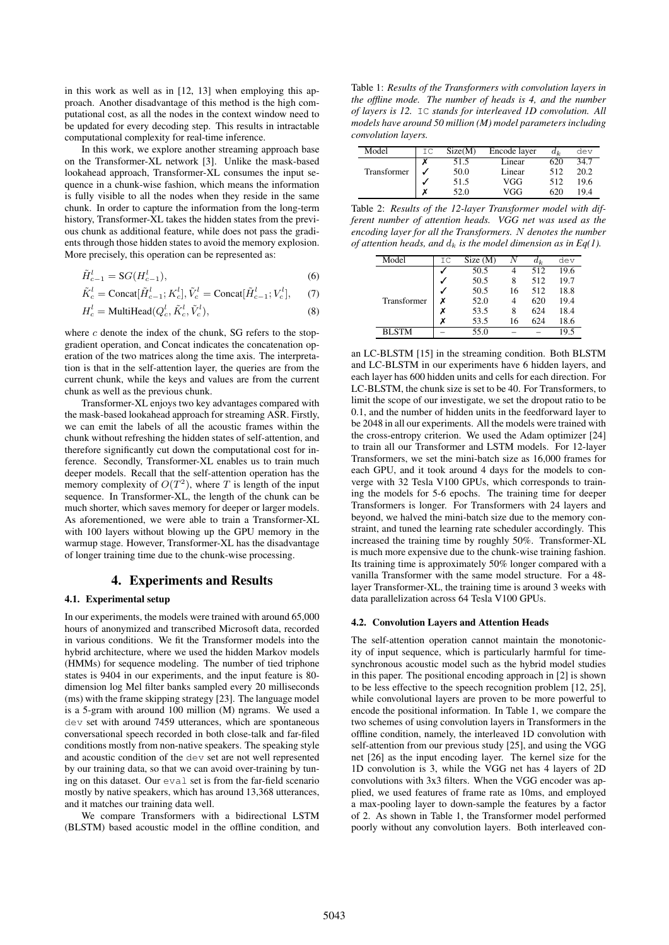in this work as well as in [12, 13] when employing this approach. Another disadvantage of this method is the high computational cost, as all the nodes in the context window need to be updated for every decoding step. This results in intractable computational complexity for real-time inference.

In this work, we explore another streaming approach base on the Transformer-XL network [3]. Unlike the mask-based lookahead approach, Transformer-XL consumes the input sequence in a chunk-wise fashion, which means the information is fully visible to all the nodes when they reside in the same chunk. In order to capture the information from the long-term history, Transformer-XL takes the hidden states from the previous chunk as additional feature, while does not pass the gradients through those hidden states to avoid the memory explosion. More precisely, this operation can be represented as:

$$
\tilde{H}_{c-1}^l = \mathcal{S}G(H_{c-1}^l),\tag{6}
$$

$$
\tilde{K}_c^l = \text{Concat}[\tilde{H}_{c-1}^l; K_c^l], \tilde{V}_c^l = \text{Concat}[\tilde{H}_{c-1}^l; V_c^l], \quad (7)
$$

$$
H_c^l = \text{MultiHead}(Q_c^l, \tilde{K}_c^l, \tilde{V}_c^l),\tag{8}
$$

where  $c$  denote the index of the chunk, SG refers to the stopgradient operation, and Concat indicates the concatenation operation of the two matrices along the time axis. The interpretation is that in the self-attention layer, the queries are from the current chunk, while the keys and values are from the current chunk as well as the previous chunk.

Transformer-XL enjoys two key advantages compared with the mask-based lookahead approach for streaming ASR. Firstly, we can emit the labels of all the acoustic frames within the chunk without refreshing the hidden states of self-attention, and therefore significantly cut down the computational cost for inference. Secondly, Transformer-XL enables us to train much deeper models. Recall that the self-attention operation has the memory complexity of  $O(T^2)$ , where T is length of the input sequence. In Transformer-XL, the length of the chunk can be much shorter, which saves memory for deeper or larger models. As aforementioned, we were able to train a Transformer-XL with 100 layers without blowing up the GPU memory in the warmup stage. However, Transformer-XL has the disadvantage of longer training time due to the chunk-wise processing.

# 4. Experiments and Results

## 4.1. Experimental setup

In our experiments, the models were trained with around 65,000 hours of anonymized and transcribed Microsoft data, recorded in various conditions. We fit the Transformer models into the hybrid architecture, where we used the hidden Markov models (HMMs) for sequence modeling. The number of tied triphone states is 9404 in our experiments, and the input feature is 80 dimension log Mel filter banks sampled every 20 milliseconds (ms) with the frame skipping strategy [23]. The language model is a 5-gram with around 100 million (M) ngrams. We used a dev set with around 7459 utterances, which are spontaneous conversational speech recorded in both close-talk and far-filed conditions mostly from non-native speakers. The speaking style and acoustic condition of the dev set are not well represented by our training data, so that we can avoid over-training by tuning on this dataset. Our eval set is from the far-field scenario mostly by native speakers, which has around 13,368 utterances, and it matches our training data well.

We compare Transformers with a bidirectional LSTM (BLSTM) based acoustic model in the offline condition, and

Table 1: *Results of the Transformers with convolution layers in the offline mode. The number of heads is 4, and the number of layers is 12.* IC *stands for interleaved 1D convolution. All models have around 50 million (M) model parameters including convolution layers.*

| Model       | ΙC | Size(M) | Encode layer | $a_k$ | dev  |
|-------------|----|---------|--------------|-------|------|
|             | v  | 51.5    | Linear       | 620   | 34.7 |
| Transformer |    | 50.0    | Linear       | 512   | 20.2 |
|             |    | 51.5    | VGG          | 512   | 19.6 |
|             | v  | 52.0    | VGG          | 620   | 194  |

Table 2: *Results of the 12-layer Transformer model with different number of attention heads. VGG net was used as the encoding layer for all the Transformers.* N *denotes the number of attention heads, and*  $d_k$  *is the model dimension as in Eq(1).* 

| Model        | IC | Size(M) |    | $a_k$ | dev  |
|--------------|----|---------|----|-------|------|
|              |    | 50.5    | 4  | 512   | 19.6 |
|              |    | 50.5    | 8  | 512   | 19.7 |
|              |    | 50.5    | 16 | 512   | 18.8 |
| Transformer  |    | 52.0    | 4  | 620   | 19.4 |
|              |    | 53.5    | 8  | 624   | 18.4 |
|              |    | 53.5    | 16 | 624   | 18.6 |
| <b>BLSTM</b> |    | 55.0    |    |       | 19.5 |

an LC-BLSTM [15] in the streaming condition. Both BLSTM and LC-BLSTM in our experiments have 6 hidden layers, and each layer has 600 hidden units and cells for each direction. For LC-BLSTM, the chunk size is set to be 40. For Transformers, to limit the scope of our investigate, we set the dropout ratio to be 0.1, and the number of hidden units in the feedforward layer to be 2048 in all our experiments. All the models were trained with the cross-entropy criterion. We used the Adam optimizer [24] to train all our Transformer and LSTM models. For 12-layer Transformers, we set the mini-batch size as 16,000 frames for each GPU, and it took around 4 days for the models to converge with 32 Tesla V100 GPUs, which corresponds to training the models for 5-6 epochs. The training time for deeper Transformers is longer. For Transformers with 24 layers and beyond, we halved the mini-batch size due to the memory constraint, and tuned the learning rate scheduler accordingly. This increased the training time by roughly 50%. Transformer-XL is much more expensive due to the chunk-wise training fashion. Its training time is approximately 50% longer compared with a vanilla Transformer with the same model structure. For a 48 layer Transformer-XL, the training time is around 3 weeks with data parallelization across 64 Tesla V100 GPUs.

#### 4.2. Convolution Layers and Attention Heads

The self-attention operation cannot maintain the monotonicity of input sequence, which is particularly harmful for timesynchronous acoustic model such as the hybrid model studies in this paper. The positional encoding approach in [2] is shown to be less effective to the speech recognition problem [12, 25], while convolutional layers are proven to be more powerful to encode the positional information. In Table 1, we compare the two schemes of using convolution layers in Transformers in the offline condition, namely, the interleaved 1D convolution with self-attention from our previous study [25], and using the VGG net [26] as the input encoding layer. The kernel size for the 1D convolution is 3, while the VGG net has 4 layers of 2D convolutions with 3x3 filters. When the VGG encoder was applied, we used features of frame rate as 10ms, and employed a max-pooling layer to down-sample the features by a factor of 2. As shown in Table 1, the Transformer model performed poorly without any convolution layers. Both interleaved con-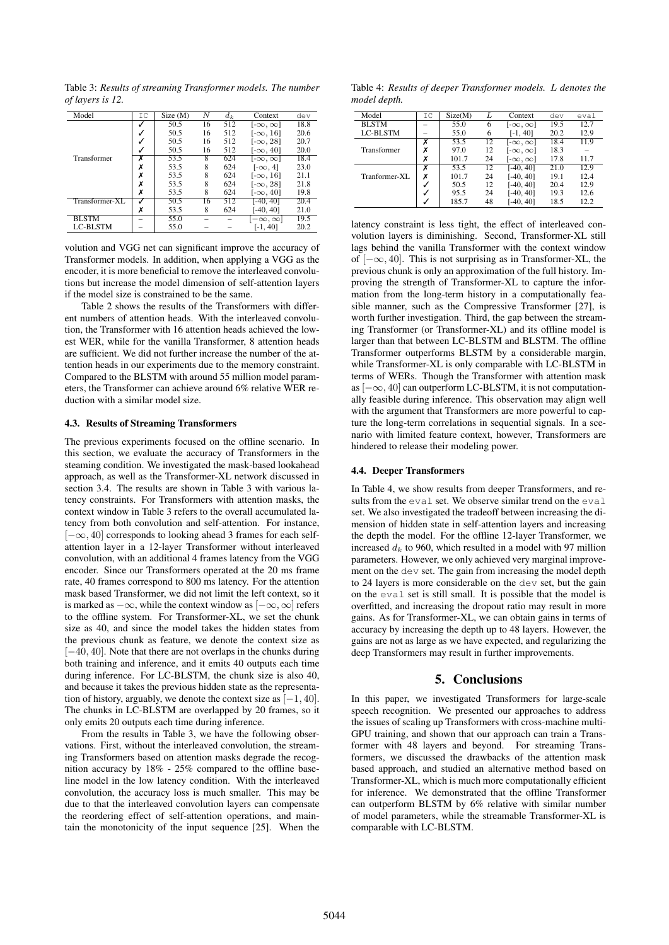Table 3: *Results of streaming Transformer models. The number of layers is 12.*

| IC | Size(M) | N  | $d_k$ | Context             | dev  |
|----|---------|----|-------|---------------------|------|
|    | 50.5    | 16 | 512   | $[-\infty, \infty]$ | 18.8 |
|    | 50.5    | 16 | 512   | [- $\infty$ , 16]   | 20.6 |
|    | 50.5    | 16 | 512   | $[-\infty, 28]$     | 20.7 |
|    | 50.5    | 16 | 512   | $[-\infty, 40]$     | 20.0 |
| X  | 53.5    | 8  | 624   | $[-\infty, \infty]$ | 18.4 |
|    | 53.5    | 8  | 624   | $[-\infty, 4]$      | 23.0 |
|    | 53.5    | 8  | 624   | $[-\infty, 16]$     | 21.1 |
|    | 53.5    | 8  | 624   | $[-\infty, 28]$     | 21.8 |
| х  | 53.5    | 8  | 624   | $[-\infty, 40]$     | 19.8 |
|    | 50.5    | 16 | 512   | $[-40, 40]$         | 20.4 |
| х  | 53.5    | 8  | 624   | <b>1-40, 401</b>    | 21.0 |
|    | 55.0    |    |       | $-\infty, \infty$   | 19.5 |
|    | 55.0    |    |       | $[-1, 40]$          | 20.2 |
|    |         |    |       |                     |      |

volution and VGG net can significant improve the accuracy of Transformer models. In addition, when applying a VGG as the encoder, it is more beneficial to remove the interleaved convolutions but increase the model dimension of self-attention layers if the model size is constrained to be the same.

Table 2 shows the results of the Transformers with different numbers of attention heads. With the interleaved convolution, the Transformer with 16 attention heads achieved the lowest WER, while for the vanilla Transformer, 8 attention heads are sufficient. We did not further increase the number of the attention heads in our experiments due to the memory constraint. Compared to the BLSTM with around 55 million model parameters, the Transformer can achieve around 6% relative WER reduction with a similar model size.

### 4.3. Results of Streaming Transformers

The previous experiments focused on the offline scenario. In this section, we evaluate the accuracy of Transformers in the steaming condition. We investigated the mask-based lookahead approach, as well as the Transformer-XL network discussed in section 3.4. The results are shown in Table 3 with various latency constraints. For Transformers with attention masks, the context window in Table 3 refers to the overall accumulated latency from both convolution and self-attention. For instance,  $[-\infty, 40]$  corresponds to looking ahead 3 frames for each selfattention layer in a 12-layer Transformer without interleaved convolution, with an additional 4 frames latency from the VGG encoder. Since our Transformers operated at the 20 ms frame rate, 40 frames correspond to 800 ms latency. For the attention mask based Transformer, we did not limit the left context, so it is marked as  $-\infty$ , while the context window as  $[-\infty, \infty]$  refers to the offline system. For Transformer-XL, we set the chunk size as 40, and since the model takes the hidden states from the previous chunk as feature, we denote the context size as [−40, 40]. Note that there are not overlaps in the chunks during both training and inference, and it emits 40 outputs each time during inference. For LC-BLSTM, the chunk size is also 40, and because it takes the previous hidden state as the representation of history, arguably, we denote the context size as  $[-1, 40]$ . The chunks in LC-BLSTM are overlapped by 20 frames, so it only emits 20 outputs each time during inference.

From the results in Table 3, we have the following observations. First, without the interleaved convolution, the streaming Transformers based on attention masks degrade the recognition accuracy by 18% - 25% compared to the offline baseline model in the low latency condition. With the interleaved convolution, the accuracy loss is much smaller. This may be due to that the interleaved convolution layers can compensate the reordering effect of self-attention operations, and maintain the monotonicity of the input sequence [25]. When the

Table 4: *Results of deeper Transformer models.* L *denotes the model depth.*

| Model         | ТC | Size(M) |    | Context             | dev  | eval |
|---------------|----|---------|----|---------------------|------|------|
| <b>BLSTM</b>  |    | 55.0    | 6  | $[-\infty, \infty]$ | 19.5 | 12.7 |
| LC-BLSTM      |    | 55.0    | 6  | $[-1, 40]$          | 20.2 | 12.9 |
|               | X  | 53.5    | 12 | $[-\infty, \infty]$ | 18.4 | 11.9 |
| Transformer   | х  | 97.0    | 12 | $[-\infty, \infty]$ | 18.3 |      |
|               | Х  | 101.7   | 24 | $[-\infty,\infty]$  | 17.8 | 11.7 |
| Tranformer-XL | x  | 53.5    | 12 | $[-40, 40]$         | 21.0 | 12.9 |
|               | x  | 101.7   | 24 | $[-40, 40]$         | 19.1 | 12.4 |
|               |    | 50.5    | 12 | $[-40, 40]$         | 20.4 | 12.9 |
|               |    | 95.5    | 24 | $[-40, 40]$         | 19.3 | 12.6 |
|               |    | 185.7   | 48 | [-40. 40]           | 18.5 | 12.2 |
|               |    |         |    |                     |      |      |

latency constraint is less tight, the effect of interleaved convolution layers is diminishing. Second, Transformer-XL still lags behind the vanilla Transformer with the context window of [−∞, 40]. This is not surprising as in Transformer-XL, the previous chunk is only an approximation of the full history. Improving the strength of Transformer-XL to capture the information from the long-term history in a computationally feasible manner, such as the Compressive Transformer [27], is worth further investigation. Third, the gap between the streaming Transformer (or Transformer-XL) and its offline model is larger than that between LC-BLSTM and BLSTM. The offline Transformer outperforms BLSTM by a considerable margin, while Transformer-XL is only comparable with LC-BLSTM in terms of WERs. Though the Transformer with attention mask as  $[-\infty, 40]$  can outperform LC-BLSTM, it is not computationally feasible during inference. This observation may align well with the argument that Transformers are more powerful to capture the long-term correlations in sequential signals. In a scenario with limited feature context, however, Transformers are hindered to release their modeling power.

#### 4.4. Deeper Transformers

In Table 4, we show results from deeper Transformers, and results from the eval set. We observe similar trend on the eval set. We also investigated the tradeoff between increasing the dimension of hidden state in self-attention layers and increasing the depth the model. For the offline 12-layer Transformer, we increased  $d_k$  to 960, which resulted in a model with 97 million parameters. However, we only achieved very marginal improvement on the dev set. The gain from increasing the model depth to 24 layers is more considerable on the dev set, but the gain on the eval set is still small. It is possible that the model is overfitted, and increasing the dropout ratio may result in more gains. As for Transformer-XL, we can obtain gains in terms of accuracy by increasing the depth up to 48 layers. However, the gains are not as large as we have expected, and regularizing the deep Transformers may result in further improvements.

## 5. Conclusions

In this paper, we investigated Transformers for large-scale speech recognition. We presented our approaches to address the issues of scaling up Transformers with cross-machine multi-GPU training, and shown that our approach can train a Transformer with 48 layers and beyond. For streaming Transformers, we discussed the drawbacks of the attention mask based approach, and studied an alternative method based on Transformer-XL, which is much more computationally efficient for inference. We demonstrated that the offline Transformer can outperform BLSTM by 6% relative with similar number of model parameters, while the streamable Transformer-XL is comparable with LC-BLSTM.